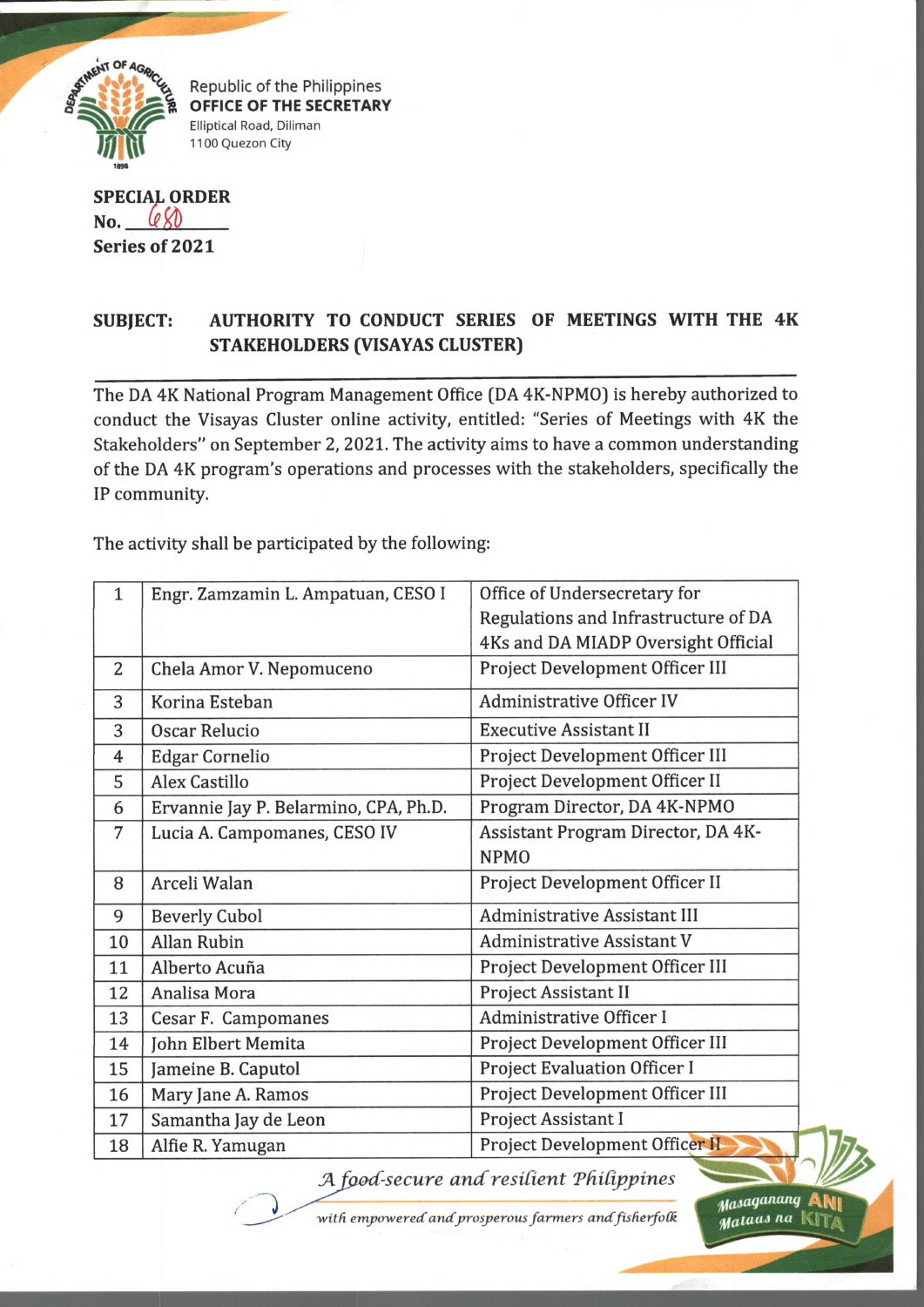

Republic of the Philippines **OFFICE OF THE SECRETARY** Elliptical Road, Dillman 1100 Quezon City

**SPECIAL ORDER**  $No.$   $QX$ **Series of 2021**

## **SUBJECT: AUTHORITY TO CONDUCT SERIES OF MEETINGS WITH THE 4K STAKEHOLDERS (VISAYAS CLUSTER)**

The DA 4K National Program Management Office (DA 4K-NPMO) is hereby authorized to conduct the Visayas Cluster online activity, entitled: "Series of Meetings with 4K the Stakeholders" on September 2, 2021. The activity aims to have a common understanding of the DA 4K program's operations and processes with the stakeholders, specifically the IP community.

The activity shall be participated by the following:

)

| $\mathbf{1}$ | Engr. Zamzamin L. Ampatuan, CESO I    | Office of Undersecretary for                      |
|--------------|---------------------------------------|---------------------------------------------------|
|              |                                       | Regulations and Infrastructure of DA              |
|              |                                       | 4Ks and DA MIADP Oversight Official               |
| 2            | Chela Amor V. Nepomuceno              | Project Development Officer III                   |
| 3            | Korina Esteban                        | <b>Administrative Officer IV</b>                  |
| 3            | <b>Oscar Relucio</b>                  | <b>Executive Assistant II</b>                     |
| 4            | <b>Edgar Cornelio</b>                 | Project Development Officer III                   |
| 5            | <b>Alex Castillo</b>                  | Project Development Officer II                    |
| 6            | Ervannie Jay P. Belarmino, CPA, Ph.D. | Program Director, DA 4K-NPMO                      |
| 7            | Lucia A. Campomanes, CESO IV          | Assistant Program Director, DA 4K-<br><b>NPMO</b> |
| 8            | Arceli Walan                          | Project Development Officer II                    |
| 9            | <b>Beverly Cubol</b>                  | <b>Administrative Assistant III</b>               |
| 10           | <b>Allan Rubin</b>                    | <b>Administrative Assistant V</b>                 |
| 11           | Alberto Acuña                         | Project Development Officer III                   |
| 12           | Analisa Mora                          | <b>Project Assistant II</b>                       |
| 13           | Cesar F. Campomanes                   | <b>Administrative Officer I</b>                   |
| 14           | John Elbert Memita                    | Project Development Officer III                   |
| 15           | Jameine B. Caputol                    | <b>Project Evaluation Officer I</b>               |
| 16           | Mary Jane A. Ramos                    | Project Development Officer III                   |
| 17           | Samantha Jay de Leon                  | Project Assistant I                               |
| 18           | Alfie R. Yamugan                      | Project Development Officer II                    |

*A food-secure and resilient Philippines* 

with empowered and prosperous farmers and fisherfolk

*,yaMlqananq* Aty| *Mataas na*  $K$